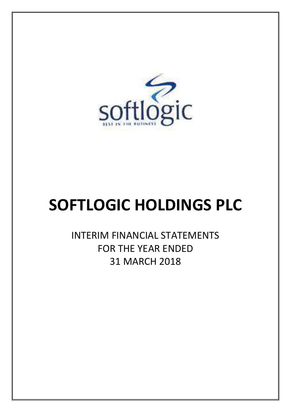

# **SOFTLOGIC HOLDINGS PLC**

INTERIM FINANCIAL STATEMENTS FOR THE YEAR ENDED 31 MARCH 2018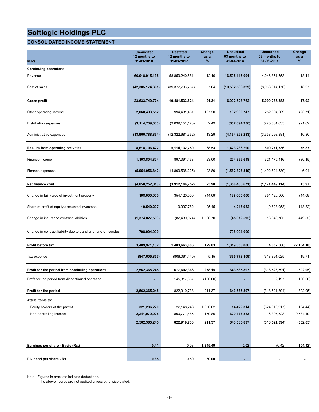## **CONSOLIDATED INCOME STATEMENT**

| In Rs.                                                          | <b>Un-audited</b><br>12 months to<br>31-03-2018 | <b>Restated</b><br>12 months to<br>31-03-2017 | Change<br>as a<br>% | <b>Unaudited</b><br>03 months to<br>31-03-2018 | <b>Unaudited</b><br>03 months to<br>31-03-2017 | Change<br>as a<br>% |
|-----------------------------------------------------------------|-------------------------------------------------|-----------------------------------------------|---------------------|------------------------------------------------|------------------------------------------------|---------------------|
| <b>Continuing operations</b>                                    |                                                 |                                               |                     |                                                |                                                |                     |
| Revenue                                                         | 66,018,915,135                                  | 58,859,240,581                                | 12.16               | 16,595,115,091                                 | 14,046,851,553                                 | 18.14               |
| Cost of sales                                                   | (42, 385, 174, 361)                             | (39, 377, 706, 757)                           | 7.64                | (10, 592, 586, 329)                            | (8,956,614,170)                                | 18.27               |
| Gross profit                                                    | 23,633,740,774                                  | 19,481,533,824                                | 21.31               | 6,002,528,762                                  | 5,090,237,383                                  | 17.92               |
| Other operating income                                          | 2,060,493,552                                   | 994,431,461                                   | 107.20              | 192,930,747                                    | 252,894,369                                    | (23.71)             |
| Distribution expenses                                           | (3, 114, 739, 030)                              | (3,039,151,173)                               | 2.49                | (607, 894, 936)                                | (775, 561, 635)                                | (21.62)             |
| Administrative expenses                                         | (13,960,788,874)                                | (12,322,681,362)                              | 13.29               | (4, 164, 328, 283)                             | (3,758,298,381)                                | 10.80               |
| <b>Results from operating activities</b>                        | 8,618,706,422                                   | 5,114,132,750                                 | 68.53               | 1,423,236,290                                  | 809,271,736                                    | 75.87               |
| Finance income                                                  | 1,103,804,824                                   | 897,391,473                                   | 23.00               | 224,336,648                                    | 321, 175, 416                                  | (30.15)             |
| Finance expenses                                                | (5,954,056,842)                                 | (4,809,538,225)                               | 23.80               | (1,582,823,319)                                | (1,492,624,530)                                | 6.04                |
| Net finance cost                                                | (4,850,252,018)                                 | (3,912,146,752)                               | 23.98               | (1,358,486,671)                                | (1, 171, 449, 114)                             | 15.97               |
| Change in fair value of investment property                     | 198,000,000                                     | 354,120,000                                   | (44.09)             | 198,000,000                                    | 354,120,000                                    | (44.09)             |
| Share of profit of equity accounted investees                   | 19,540,207                                      | 9,997,782                                     | 95.45               | 4,216,982                                      | (9,623,953)                                    | (143.82)            |
| Change in insurance contract liabilities                        | (1,374,027,509)                                 | (82, 439, 974)                                | 1,566.70            | (45, 612, 595)                                 | 13,048,765                                     | (449.55)            |
| Change in contract liability due to transfer of one-off surplus | 798,004,000                                     |                                               |                     | 798,004,000                                    |                                                |                     |
| Profit before tax                                               | 3,409,971,102                                   | 1,483,663,806                                 | 129.83              | 1,019,358,006                                  | (4,632,566)                                    | (22, 104.18)        |
| Tax expense                                                     | (847, 605, 857)                                 | (806,061,440)                                 | 5.15                | (375, 772, 109)                                | (313,891,025)                                  | 19.71               |
| Profit for the period from continuing operations                | 2,562,365,245                                   | 677,602,366                                   | 278.15              | 643,585,897                                    | (318, 523, 591)                                | (302.05)            |
| Profit for the period from discontinued operation               |                                                 | 145,317,367                                   | (100.00)            |                                                | 2,197                                          | (100.00)            |
| Profit for the period                                           | 2,562,365,245                                   | 822,919,733                                   | 211.37              | 643,585,897                                    | (318, 521, 394)                                | (302.05)            |
| Attributable to:                                                |                                                 |                                               |                     |                                                |                                                |                     |
| Equity holders of the parent                                    | 321,286,220                                     | 22,148,248                                    | 1,350.62            | 14,422,314                                     | (324, 918, 917)                                | (104.44)            |
| Non-controlling interest                                        | 2,241,079,025                                   | 800,771,485                                   | 179.86              | 629,163,583                                    | 6,397,523                                      | 9,734.49            |
|                                                                 | 2,562,365,245                                   | 822,919,733                                   | 211.37              | 643,585,897                                    | (318, 521, 394)                                | (302.05)            |
|                                                                 |                                                 |                                               |                     |                                                |                                                |                     |
| Earnings per share - Basic (Rs.)                                | 0.41                                            | 0.03                                          | 1,345.49            | 0.02                                           | (0.42)                                         | (104.42)            |
| Dividend per share - Rs.                                        | 0.65                                            | 0.50                                          | 30.00               |                                                |                                                |                     |

Note : Figures in brackets indicate deductions.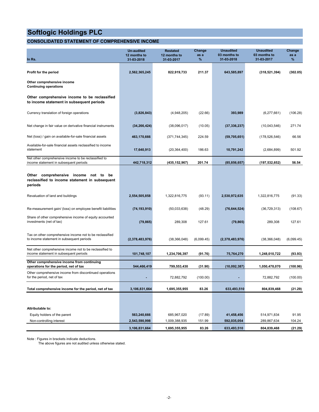## **CONSOLIDATED STATEMENT OF COMPREHENSIVE INCOME**

| In Rs.                                                                                                | <b>Un-audited</b><br>12 months to<br>31-03-2018 | <b>Restated</b><br>12 months to<br>31-03-2017 | Change<br>as a<br>% | <b>Unaudited</b><br>03 months to<br>31-03-2018 | <b>Unaudited</b><br>03 months to<br>31-03-2017 | Change<br>as a<br>% |
|-------------------------------------------------------------------------------------------------------|-------------------------------------------------|-----------------------------------------------|---------------------|------------------------------------------------|------------------------------------------------|---------------------|
|                                                                                                       |                                                 |                                               |                     |                                                |                                                |                     |
| Profit for the period<br>Other comprehensive income<br><b>Continuing operations</b>                   | 2,562,365,245                                   | 822,919,733                                   | 211.37              | 643,585,897                                    | (318, 521, 394)                                | (302.05)            |
| Other comprehensive income to be reclassified<br>to income statement in subsequent periods            |                                                 |                                               |                     |                                                |                                                |                     |
| Currency translation of foreign operations                                                            | (3,826,843)                                     | (4,948,205)                                   | (22.66)             | 393,989                                        | (6,277,661)                                    | (106.28)            |
| Net change in fair value on derivative financial instruments                                          | (34, 266, 424)                                  | (38,096,017)                                  | (10.05)             | (37, 336, 237)                                 | (10,043,546)                                   | 271.74              |
| Net (loss) / gain on available-for-sale financial assets                                              | 463,170,666                                     | (371, 744, 345)                               | 224.59              | (59,705,651)                                   | (178, 526, 546)                                | 66.56               |
| Available-for-sale financial assets reclassified to income<br>statement                               | 17,640,913                                      | (20, 364, 400)                                | 186.63              | 10,791,242                                     | (2,684,899)                                    | 501.92              |
| Net other comprehensive income to be reclassified to<br>income statement in subsequent periods        | 442,718,312                                     | (435,152,967)                                 | 201.74              | (85, 856, 657)                                 | (197, 532, 652)                                | 56.54               |
| Other comprehensive income not to<br>be<br>reclassified to income statement in subsequent<br>periods  |                                                 |                                               |                     |                                                |                                                |                     |
| Revaluation of land and buildings                                                                     | 2,554,505,858                                   | 1,322,816,775                                 | (93.11)             | 2,530,972,635                                  | 1,322,816,775                                  | (91.33)             |
| Re-measurement gain/ (loss) on employee benefit liabilities                                           | (74, 193, 910)                                  | (50,033,638)                                  | (48.29)             | (76, 644, 524)                                 | (36, 729, 313)                                 | (108.67)            |
| Share of other comprehensive income of equity accounted<br>investments (net of tax)                   | (79, 865)                                       | 289,308                                       | 127.61              | (79, 865)                                      | 289,308                                        | 127.61              |
| Tax on other comprehensive income not to be reclassified<br>to income statement in subsequent periods | (2,378,483,976)                                 | (38, 366, 048)                                | (6,099.45)          | (2,378,483,976)                                | (38, 366, 048)                                 | (6,099.45)          |
| Net other comprehensive income not to be reclassified to<br>income statement in subsequent periods    | 101,748,107                                     | 1,234,706,397                                 | (91.76)             | 75,764,270                                     | 1,248,010,722                                  | (93.93)             |
| Other comprehensive income from continuing<br>operations for the period, net of tax                   | 544,466,419                                     | 799,553,430                                   | (31.90)             | (10,092,387)                                   | 1,050,478,070                                  | (100.96)            |
| Other comprehensive income from discontinued operations<br>for the period, net of tax                 |                                                 | 72,882,792                                    | (100.00)            |                                                | 72.882.792                                     | (100.00)            |
| Total comprehensive income for the period, net of tax                                                 | 3,106,831,664                                   | 1,695,355,955                                 | 83.26               | 633,493,510                                    | 804,839,468                                    | (21.29)             |
|                                                                                                       |                                                 |                                               |                     |                                                |                                                |                     |
| Attributable to:                                                                                      |                                                 |                                               |                     |                                                |                                                |                     |
| Equity holders of the parent                                                                          | 563,240,666                                     | 685,967,020                                   | (17.89)             | 41,458,456                                     | 514,971,834                                    | 91.95               |
| Non-controlling interest                                                                              | 2,543,590,998                                   | 1,009,388,935                                 | 151.99              | 592,035,054                                    | 289,867,634                                    | 104.24              |
|                                                                                                       | 3,106,831,664                                   | 1,695,355,955                                 | 83.26               | 633,493,510                                    | 804,839,468                                    | (21.29)             |

Note : Figures in brackets indicate deductions.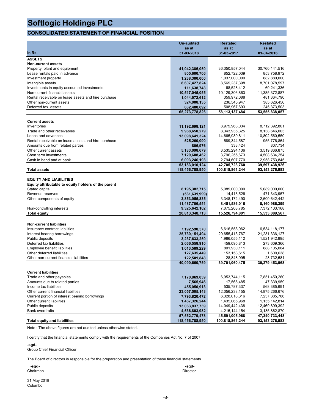## **CONSOLIDATED STATEMENT OF FINANCIAL POSITION**

|                                                     | <b>Un-audited</b> | <b>Restated</b> | <b>Restated</b> |
|-----------------------------------------------------|-------------------|-----------------|-----------------|
|                                                     | as at             | as at           | as at           |
| In Rs.                                              | 31-03-2018        | 31-03-2017      | 01-04-2016      |
| <b>ASSETS</b>                                       |                   |                 |                 |
| <b>Non-current assets</b>                           |                   |                 |                 |
| Property, plant and equipment                       | 41,942,385,059    | 36,350,857,044  | 30,760,141,516  |
| Lease rentals paid in advance                       | 805,600,706       | 852,722,039     | 853,758,972     |
| Investment property                                 | 1,238,300,000     | 1,037,000,000   | 682,880,000     |
| Intangible assets                                   | 8,607,427,824     | 8,569,237,398   | 8,701,078,597   |
| Investments in equity accounted investments         | 111,638,743       | 68,528,412      | 60,241,336      |
| Non-current financial assets                        | 10,517,045,055    | 10,129,306,863  | 11,385,372,887  |
| Rental receivable on lease assets and hire purchase | 1,044,972,612     | 359,972,088     | 481,364,790     |
| Other non-current assets                            | 324,008,135       | 236,545,947     | 385,626,456     |
| Deferred tax assets                                 | 682,400,692       | 508,967,693     | 245,373,503     |
|                                                     | 65,273,778,826    | 58,113,137,484  | 53,555,838,057  |
|                                                     |                   |                 |                 |
| <b>Current assets</b>                               |                   |                 |                 |
| Inventories                                         | 11,192,698,121    | 8,979,963,034   | 8,712,392,801   |
| Trade and other receivables                         | 9,968,650,279     | 8,343,935,325   | 8,138,646,003   |
| Loans and advances                                  | 13,098,641,324    | 14,665,989,811  | 10,802,560,550  |
| Rental receivable on lease assets and hire purchase | 525,260,090       | 589,344,587     | 955,776,864     |
| Amounts due from related parties                    | 806,976           | 333,424         | 807,734         |
| Other current assets                                | 5,183,098,679     | 3,535,294,136   | 3,519,866,875   |
| Short term investments                              | 7,120,608,462     | 3,796,255,673   | 4,508,634,254   |
| Cash in hand and at bank                            | 6,093,246,193     | 2,794,607,770   | 2,958,753,845   |
|                                                     | 53,183,010,124    | 42,705,723,760  | 39,597,438,926  |
| <b>Total assets</b>                                 | 118,456,788,950   | 100,818,861,244 | 93,153,276,983  |
| <b>EQUITY AND LIABILITIES</b>                       |                   |                 |                 |
| Equity attributable to equity holders of the parent |                   |                 |                 |
| Stated capital                                      | 8,195,382,715     | 5,089,000,000   | 5,089,000,000   |
| Revenue reserves                                    | (561, 631, 999)   | 14,413,526      | 471,343,957     |
| Other components of equity                          | 3,853,955,835     | 3,348,172,490   | 2,600,642,442   |
|                                                     | 11,487,706,551    | 8,451,586,016   | 8,160,986,399   |
| Non-controlling interests                           | 9,325,642,162     | 7,075,208,785   | 7,372,103,168   |
| <b>Total equity</b>                                 | 20,813,348,713    | 15,526,794,801  | 15,533,089,567  |
|                                                     |                   |                 |                 |
| <b>Non-current liabilities</b>                      |                   |                 |                 |
| Insurance contract liabilities                      | 7,192,590,570     | 6,616,558,062   | 6,534,118,177   |
| Interest bearing borrowings                         | 25,730,151,494    | 29,655,413,767  | 21,231,336,127  |
| Public deposits                                     | 3,237,633,259     | 1,986,055,112   | 1,521,942,995   |
| Deferred tax liabilities                            | 2,666,558,910     | 459,095,813     | 273,609,366     |
| Emplovee benefit liabilities                        | 1,013,589,229     | 801,930,111     | 688,105,084     |
| Other deferred liabilities                          | 127,635,449       | 153,158,615     | 1,609,638       |
| Other non-current financial liabilities             | 122,501,848       | 28,848,995      | 28,732,581      |
|                                                     | 40,090,660,759    | 39,701,060,475  | 30,279,453,968  |
|                                                     |                   |                 |                 |
| <b>Current liabilities</b>                          |                   |                 |                 |
| Trade and other payables                            | 7,170,869,039     | 6,953,744,115   | 7,851,450,260   |
| Amounts due to related parties                      | 7,565,946         | 17,565,485      | 47,339,959      |
| Income tax liabilities                              | 455,050,913       | 535,787,337     | 568,385,691     |
| Other current financial liabilities                 | 23,057,505,143    | 12,056,238,155  | 14,875,266,676  |
| Current portion of interest bearing borrowings      | 7,793,820,472     | 6,328,018,316   | 7,237,385,786   |
| Other current liabilities                           | 1,467,326,244     | 1,435,065,968   | 1,155,142,814   |
| Public deposits                                     | 13,063,837,739    | 14,049,442,438  | 12,469,899,392  |
| <b>Bank overdrafts</b>                              | 4,536,803,982     | 4,215,144,154   | 3,135,862,870   |
|                                                     | 57,552,779,478    | 45,591,005,968  | 47,340,733,448  |
| <b>Total equity and liabilities</b>                 | 118,456,788,950   | 100,818,861,244 | 93,153,276,983  |

Note : The above figures are not audited unless otherwise stated.

I certify that the financial statements comply with the requirements of the Companies Act No. 7 of 2007.

**-sgd-**

Group Chief Financial Officer

The Board of directors is responsible for the preparation and presentation of these financial statements.

| -sgd-    | -sgd-    |
|----------|----------|
| Chairman | Director |
|          |          |

31 May 2018 Colombo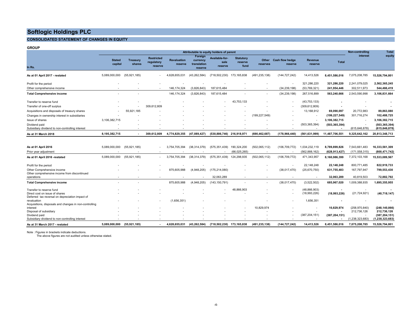## **CONSOLIDATED STATEMENT OF CHANGES IN EQUITY**

**GROUP**

|                                                                                   | Attributable to equity holders of parent |                           |                                            |                               |                                               |                                   |                                     |                   | Non-controlling                   | Total                     |                 |                    |                                  |
|-----------------------------------------------------------------------------------|------------------------------------------|---------------------------|--------------------------------------------|-------------------------------|-----------------------------------------------|-----------------------------------|-------------------------------------|-------------------|-----------------------------------|---------------------------|-----------------|--------------------|----------------------------------|
| In Rs.                                                                            | <b>Stated</b><br>capital                 | <b>Treasury</b><br>shares | <b>Restricted</b><br>regulatory<br>reserve | <b>Revaluation</b><br>reserve | Foreign<br>currency<br>translation<br>reserve | Available-for-<br>sale<br>reserve | <b>Statutory</b><br>reserve<br>fund | Other<br>reserves | <b>Cash flow hedge</b><br>reserve | <b>Revenue</b><br>reserve | <b>Total</b>    | interest           | equity                           |
| As at 01 April 2017 - restated                                                    | 5,089,000,000                            | (55, 921, 185)            |                                            | 4,628,655,031                 | (43, 262, 584)                                | (718, 502, 230)                   | 173,165,838                         | (491, 235, 138)   | (144, 727, 242)                   | 14,413,526                | 8,451,586,016   | 7,075,208,785      | 15,526,794,801                   |
| Profit for the period                                                             |                                          |                           |                                            |                               |                                               |                                   |                                     |                   |                                   | 321,286,220               | 321,286,220     | 2,241,079,025      | 2,562,365,245                    |
| Other comprehensive income                                                        |                                          |                           | $\overline{\phantom{a}}$                   | 146, 174, 324                 | (3,826,843)                                   | 187,615,484                       |                                     |                   | (34, 239, 198)                    | (53,769,321)              | 241,954,446     | 302,511,973        | 544,466,419                      |
| <b>Total Comprehensive income</b>                                                 |                                          |                           |                                            | 146, 174, 324                 | (3,826,843)                                   | 187,615,484                       |                                     | $\sim$            | (34, 239, 198)                    | 267,516,899               | 563,240,666     | 2,543,590,998      | 3,106,831,664                    |
| Transfer to reserve fund                                                          |                                          |                           |                                            |                               |                                               |                                   | 43,753,133                          |                   |                                   | (43, 753, 133)            |                 |                    |                                  |
| Transfer of one-off surplus                                                       |                                          |                           | 309,612,809                                |                               |                                               |                                   |                                     |                   |                                   | (309,612,809)             |                 |                    |                                  |
| Acquisitions and disposals of treasury shares                                     |                                          | 55,921,185                |                                            |                               |                                               |                                   |                                     |                   |                                   | 13,168,912                | 69,090,097      | 20,772,983         | 89,863,080                       |
| Changes in ownership interest in subsidiaries                                     |                                          |                           |                                            |                               |                                               |                                   |                                     | (199, 227, 549)   |                                   |                           | (199, 227, 549) | 301,716,274        | 102,488,725                      |
| Issue of shares                                                                   | 3,106,382,715                            |                           |                                            |                               |                                               |                                   |                                     |                   |                                   |                           | 3,106,382,715   |                    | 3,106,382,715                    |
| Dividend paid<br>Subsidiary dividend to non-controlling interest                  |                                          |                           |                                            |                               |                                               |                                   |                                     |                   |                                   | (503, 365, 394)           | (503, 365, 394) | (615, 646, 878)    | (503,365,394)<br>(615, 646, 878) |
| As at 31 March 2018                                                               | 8,195,382,715                            |                           | 309,612,809                                | 4,774,829,355                 | (47,089,427)                                  | (530, 886, 746)                   | 216,918,971                         | (690,462,687)     | (178,966,440)                     | (561,631,999)             | 11,487,706,551  | 9,325,642,162      | 20,813,348,713                   |
|                                                                                   |                                          |                           |                                            |                               |                                               |                                   |                                     |                   |                                   |                           |                 |                    |                                  |
| As at 01 April 2016                                                               | 5,089,000,000                            | (55, 921, 185)            |                                            | 3,754,705,394                 | (38, 314, 379)                                | (575, 351, 439)                   | 190,324,200                         | (502,065,112)     | (106, 709, 772)                   | 1,034,232,119             | 8,789,899,826   | 7,543,661,483      | 16,333,561,309                   |
| Prior year adjustment                                                             |                                          |                           |                                            |                               |                                               |                                   | (66,025,265)                        |                   |                                   | (562,888,162)             | (628,913,427    | (171, 558, 315)    | (800,471,742)                    |
| As at 01 April 2016 -restated                                                     | 5,089,000,000                            | (55, 921, 185)            |                                            | 3,754,705,394                 | (38, 314, 379)                                | (575, 351, 439)                   | 124,298,935                         | (502,065,112)     | (106, 709, 772)                   | 471,343,957               | 8,160,986,399   | 7,372,103,168      | 15,533,089,567                   |
| Profit for the period                                                             |                                          |                           |                                            |                               |                                               |                                   |                                     |                   |                                   | 22, 148, 248              | 22,148,248      | 800,771,485        | 822,919,733                      |
| Other Comprehensive income<br>Other comprehensive income from discontinued        |                                          |                           |                                            | 875,605,988                   | (4,948,205)                                   | (175, 214, 080)                   |                                     |                   | (38,017,470)                      | (25,670,750)              | 631,755,483     | 167,797,947        | 799,553,430                      |
| operations                                                                        |                                          |                           |                                            |                               |                                               | 32,063,289                        | $\overline{\phantom{a}}$            |                   |                                   |                           | 32,063,289      | 40,819,503         | 72,882,792                       |
| <b>Total Comprehensive income</b>                                                 |                                          |                           |                                            | 875,605,988                   | (4,948,205)                                   | (143, 150, 791)                   |                                     |                   | (38,017,470)                      | (3,522,502)               | 685,967,020     | 1,009,388,935      | 1,695,355,955                    |
| Transfer to reserve fund                                                          |                                          |                           |                                            |                               |                                               |                                   | 48,866,903                          |                   |                                   | (48, 866, 903)            |                 |                    |                                  |
| Direct cost on issue of shares<br>Deferred tax reversal on depreciation impact of |                                          |                           |                                            |                               |                                               |                                   |                                     |                   |                                   | (18,993,226)              | (18,993,226)    | (21, 724, 921)     | (40,718,147)                     |
| revaluation                                                                       |                                          |                           |                                            | (1,656,351)                   |                                               |                                   |                                     |                   |                                   | 1,656,351                 |                 |                    |                                  |
| Acquisitions, disposals and changes in non-controlling<br>interest                |                                          |                           |                                            |                               |                                               |                                   |                                     | 10,829,974        |                                   |                           | 10,829,974      | (258, 970, 840)    | (248, 140, 866)                  |
| Disposal of subsidiary                                                            |                                          |                           |                                            |                               |                                               |                                   |                                     |                   |                                   |                           |                 | 212,736,126        | 212,736,126                      |
| Dividend paid                                                                     |                                          |                           |                                            |                               |                                               |                                   |                                     |                   |                                   | (387, 204, 151)           | (387, 204, 151) |                    | (387, 204, 151)                  |
| Subsidiary dividend to non-controlling interest                                   |                                          |                           |                                            |                               |                                               |                                   |                                     |                   |                                   |                           |                 | (1, 238, 323, 683) | (1, 238, 323, 683)               |
| As at 31 March 2017 - restated                                                    | 5,089,000,000                            | (55, 921, 185)            |                                            | 4.628.655.031                 | (43, 262, 584)                                | (718, 502, 230)                   | 173,165,838                         | (491, 235, 138)   | (144,727,242)                     | 14,413,526                | 8.451.586.016   | 7.075.208.785      | 15,526,794,801                   |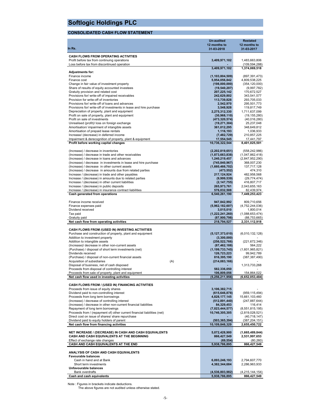## **CONSOLIDATED CASH FLOW STATEMENT**

|                                                                                                                        | <b>Un-audited</b>                   | <b>Restated</b>                  |
|------------------------------------------------------------------------------------------------------------------------|-------------------------------------|----------------------------------|
|                                                                                                                        | 12 months to                        | 12 months to                     |
| In Rs.                                                                                                                 | 31-03-2018                          | 31-03-2017                       |
| <b>CASH FLOWS FROM OPERATING ACTIVITIES</b>                                                                            |                                     |                                  |
| Profit before tax from continuing operations                                                                           | 3,409,971,102                       | 1,483,663,806                    |
| Loss before tax from discontinued operation                                                                            |                                     | (109, 594, 288)                  |
|                                                                                                                        | 3,409,971,102                       | 1,374,069,518                    |
| <b>Adjustments for:</b><br>Finance income                                                                              |                                     | (897, 391, 473)                  |
| Finance cost                                                                                                           | (1, 103, 804, 509)<br>5,954,056,842 | 4,809,538,225                    |
| Change in fair value of investment property                                                                            | (198,000,000)                       | (354, 120, 000)                  |
| Share of results of equity accounted investees                                                                         | (19, 540, 207)                      | (9,997,782)                      |
| Gratuity provision and related cost                                                                                    | 207,225,142                         | 170,672,527                      |
| Provisions for/ write-off of impaired receivables                                                                      | 242,629,802                         | 343,541,577                      |
| Provision for write-off of inventories                                                                                 | 113,739,828                         | 293,705,033                      |
| Provisions for/ write-off of loans and advances<br>Provisions for/ write-off of investments in lease and hire purchase | 2,542,970<br>3,548,928              | 295,501,773<br>119,817,749       |
| Depreciation of property, plant and equipment                                                                          | 2,275,312,330                       | 1,711,637,099                    |
| Profit on sale of property, plant and equipment                                                                        | (30, 968, 110)                      | (19, 155, 280)                   |
| Profit on sale of investments                                                                                          | (473, 320, 574)                     | (40,016,280)                     |
| Unrealised (profit)/ loss on foreign exchange                                                                          | (19, 271, 304)                      | 25,237,048                       |
| Amortisation/ impairment of intangible assets                                                                          | 361,012,295                         | 348,649,812                      |
| Amortisation of prepaid lease rentals                                                                                  | 1,116,193                           | 1,036,933                        |
| Increase/ (decrease) in deferred income<br>Impairment & derecognition of property, plant & equipment                   | (7, 482, 729)                       | 210,857,225                      |
| Profit before working capital changes                                                                                  | 17,554,545<br>10,736,322,544        | 17,441,797<br>8,401,025,501      |
|                                                                                                                        |                                     |                                  |
| (Increase) / decrease in inventories                                                                                   | (2,202,819,651)                     | (558, 242, 986)                  |
| (Increase) / decrease in trade and other receivables                                                                   | (1,873,663,838)                     | (1,047,862,418)                  |
| (Increase) / decrease in loans and advances                                                                            | 1,240,219,457                       | (2,847,952,290)                  |
| (Increase) / decrease in investments in lease and hire purchase                                                        | (745, 840, 967)                     | 368,007,230                      |
| (Increase) / decrease in other current assets<br>(Increase) / decrease in amounts due from related parties             | (1,660,466,702)<br>(473, 552)       | 137,717,128<br>474,310           |
| Increase / (decrease) in trade and other payables                                                                      | 217,124,924                         | 482,958,568                      |
| Increase / (decrease) in amounts due to related parties                                                                | (9,999,539)                         | (29, 774, 474)                   |
| Increase / (decrease) in other current liabilities                                                                     | (2, 147, 755)                       | 416,807,717                      |
| Increase / (decrease) in public deposits                                                                               | 265,973,761                         | 2,043,655,163                    |
| Increase / (decrease) in insurance contract liabilities                                                                | 576,032,508                         | 82,439,974                       |
| Cash generated from operations                                                                                         | 6,540,261,190                       | 7,449,253,423                    |
|                                                                                                                        |                                     |                                  |
| Finance income received<br>Finance expenses paid                                                                       | 947,842,992<br>(5,962,182,607)      | 809,710,656<br>(4,752,244,036)   |
| Dividend received                                                                                                      | 3,015,010                           | 1,800,014                        |
| Tax paid                                                                                                               | (1,222,241,260)                     | (1,088,653,474)                  |
| Gratuity paid                                                                                                          | (87,900,798)                        | (88, 753, 665)                   |
| Net cash flow from operating activities                                                                                | 218,794,527                         | 2,331,112,918                    |
|                                                                                                                        |                                     |                                  |
| CASH FLOWS FROM /(USED IN) INVESTING ACTIVITIES                                                                        |                                     |                                  |
| Purchase and construction of property, plant and equipment<br>Addition to investment property                          | (5, 127, 373, 610)<br>(3,300,000)   | (6,010,132,128)                  |
| Addition to intangible assets                                                                                          | (256, 522, 766)                     | (221, 672, 346)                  |
| (Increase)/ decrease in other non-current assets                                                                       | (87, 462, 188)                      | 564,222                          |
| (Purchase) / disposal of short term investments (net)                                                                  | (1, 199, 733, 745)                  | (1,601,965,821)                  |
| Dividends received                                                                                                     | 126,723,223                         | 99,942,789                       |
| (Purchase) / disposal of non-current financial assets                                                                  | 816,395,190                         | (387, 387, 490)                  |
| Acquisition of subsidiaries<br>(A)<br>Disposal of business, net of cash disposed                                       | (214, 083, 166)                     |                                  |
| Proceeds from disposal of controlling interest                                                                         | 582,336,050                         | 1,313,733,268                    |
| Proceeds from sale of property, plant and equipment                                                                    | 106,809,056                         | 154,864,022                      |
| Net cash flow used in investing activities                                                                             | (5, 256, 211, 956)                  | (6,652,053,484)                  |
|                                                                                                                        |                                     |                                  |
| CASH FLOWS FROM / (USED IN) FINANCING ACTIVITIES                                                                       |                                     |                                  |
| Proceeds from issue of equity shares<br>Dividend paid to non-controlling interest                                      | 3,106,382,715<br>(615, 646, 878)    | (959, 115, 494)                  |
| Proceeds from long term borrowings                                                                                     | 4,828,177,145                       | 15,661,103,460                   |
| (Increase) / decrease of controlling interest                                                                          | (512, 891, 440)                     | (247, 887, 644)                  |
| (Increase) / decrease in other non-current financial liabilities                                                       | 84,329,453                          | 116,414                          |
| Repayment of long term borrowings                                                                                      | (7,023,444,577)                     | (8,551,815,195)                  |
| Proceeds from / (repayment of) other current financial liabilities (net)                                               | 10,746,305,305                      | (2,819,028,521)                  |
| Direct cost on issue of shares/ share repurchase                                                                       |                                     | (40, 718, 147)                   |
| Dividend paid to equity holders of parent<br>Net cash flow from financing activities                                   | (503, 365, 394)<br>10,109,846,329   | (387, 204, 151)<br>2,655,450,722 |
|                                                                                                                        |                                     |                                  |
| NET INCREASE / (DECREASE) IN CASH AND CASH EQUIVALENTS                                                                 | 5,072,428,900                       | (1,665,489,844)                  |
| CASH AND CASH EQUIVALENTS AT THE BEGINNING                                                                             | 866,427,549                         | 2,531,997,653                    |
| Effect of exchange rate changes                                                                                        | (69, 554)                           | (80, 260)                        |
| <b>CASH AND CASH EQUIVALENTS AT THE END</b>                                                                            | 5,938,786,895                       | 866,427,549                      |
| ANALYSIS OF CASH AND CASH EQUIVALENTS                                                                                  |                                     |                                  |
| <b>Favourable balances</b>                                                                                             |                                     |                                  |
| Cash in hand and at Bank                                                                                               | 6,093,246,193                       | 2,794,607,770                    |
| Short term investments                                                                                                 | 4,382,344,684                       | 2,286,963,933                    |
| Unfavourable balances                                                                                                  |                                     |                                  |
| Bank overdrafts                                                                                                        | (4,536,803,982)                     | (4,215,144,154)                  |
| Cash and cash equivalents                                                                                              | 5,938,786,895                       | 866,427,549                      |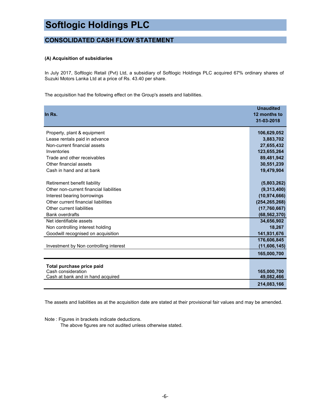## **CONSOLIDATED CASH FLOW STATEMENT**

## **(A) Acquisition of subsidiaries**

In July 2017, Softlogic Retail (Pvt) Ltd, a subsidiary of Softlogic Holdings PLC acquired 67% ordinary shares of Suzuki Motors Lanka Ltd at a price of Rs. 43.40 per share.

The acquisition had the following effect on the Group's assets and liabilities.

| In Rs.                                          | <b>Unaudited</b><br>12 months to<br>31-03-2018 |
|-------------------------------------------------|------------------------------------------------|
| Property, plant & equipment                     | 106,629,052                                    |
| Lease rentals paid in advance                   | 3,883,702                                      |
| Non-current financial assets                    | 27,655,432                                     |
| Inventories                                     | 123,655,264                                    |
| Trade and other receivables                     | 89,481,942                                     |
| Other financial assets                          | 30,551,239                                     |
| Cash in hand and at bank                        | 19,479,904                                     |
|                                                 |                                                |
| Retirement benefit liability                    | (5,803,262)                                    |
| Other non-current financial liabilities         | (9,313,400)                                    |
| Interest bearing borrowings                     | (10, 974, 666)                                 |
| Other current financial liabilities             | (254, 265, 268)                                |
| Other current liabilities                       | (17, 760, 667)                                 |
| <b>Bank overdrafts</b>                          | (68, 562, 370)                                 |
| Net identifiable assets                         | 34,656,902                                     |
| Non controlling interest holding                | 18,267                                         |
| Goodwill recognised on acquisition              | 141,931,676                                    |
|                                                 | 176,606,845                                    |
| Investment by Non controlling interest          | (11,606,145)                                   |
|                                                 | 165,000,700                                    |
|                                                 |                                                |
| Total purchase price paid<br>Cash consideration | 165,000,700                                    |
| Cash at bank and in hand acquired               | 49,082,466                                     |
|                                                 | 214.083.166                                    |

The assets and liabilities as at the acquisition date are stated at their provisional fair values and may be amended.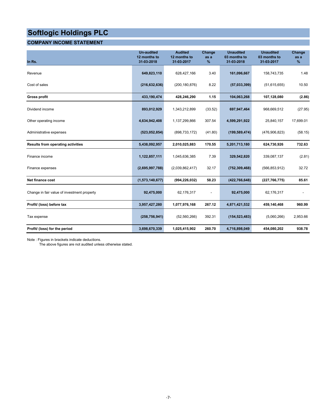## **COMPANY INCOME STATEMENT**

| In Rs.                                      | <b>Un-audited</b><br>12 months to<br>31-03-2018 | <b>Audited</b><br>12 months to<br>31-03-2017 | Change<br>as a<br>$\%$ | <b>Unaudited</b><br>03 months to<br>31-03-2018 | <b>Unaudited</b><br>03 months to<br>31-03-2017 | Change<br>as a<br>$\%$ |
|---------------------------------------------|-------------------------------------------------|----------------------------------------------|------------------------|------------------------------------------------|------------------------------------------------|------------------------|
| Revenue                                     | 649,823,110                                     | 628,427,166                                  | 3.40                   | 161,096,667                                    | 158,743,735                                    | 1.48                   |
| Cost of sales                               | (216, 632, 636)                                 | (200, 180, 876)                              | 8.22                   | (57,033,399)                                   | (51, 615, 655)                                 | 10.50                  |
| <b>Gross profit</b>                         | 433,190,474                                     | 428,246,290                                  | 1.15                   | 104,063,268                                    | 107,128,080                                    | (2.86)                 |
| Dividend income                             | 893,012,929                                     | 1,343,212,899                                | (33.52)                | 697,947,464                                    | 968,669,512                                    | (27.95)                |
| Other operating income                      | 4,634,942,408                                   | 1,137,299,866                                | 307.54                 | 4,599,291,922                                  | 25,840,157                                     | 17,699.01              |
| Administrative expenses                     | (523, 052, 854)                                 | (898, 733, 172)                              | (41.80)                | (199, 589, 474)                                | (476,906,823)                                  | (58.15)                |
| <b>Results from operating activities</b>    | 5,438,092,957                                   | 2,010,025,883                                | 170.55                 | 5,201,713,180                                  | 624,730,926                                    | 732.63                 |
| Finance income                              | 1,122,857,111                                   | 1,045,636,385                                | 7.39                   | 329,542,820                                    | 339,087,137                                    | (2.81)                 |
| Finance expenses                            | (2,695,997,788)                                 | (2,039,862,417)                              | 32.17                  | (752, 309, 468)                                | (566, 853, 912)                                | 32.72                  |
| Net finance cost                            | (1,573,140,677)                                 | (994, 226, 032)                              | 58.23                  | (422, 766, 648)                                | (227, 766, 775)                                | 85.61                  |
| Change in fair value of investment property | 92,475,000                                      | 62,176,317                                   |                        | 92,475,000                                     | 62,176,317                                     |                        |
| Profit/ (loss) before tax                   | 3,957,427,280                                   | 1,077,976,168                                | 267.12                 | 4,871,421,532                                  | 459,140,468                                    | 960.99                 |
| Tax expense                                 | (258, 756, 941)                                 | (52, 560, 266)                               | 392.31                 | (154, 523, 483)                                | (5,060,266)                                    | 2,953.66               |
| Profit/ (loss) for the period               | 3,698,670,339                                   | 1,025,415,902                                | 260.70                 | 4,716,898,049                                  | 454,080,202                                    | 938.78                 |

Note : Figures in brackets indicate deductions.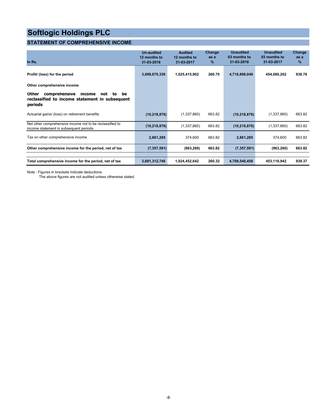## **STATEMENT OF COMPREHENSIVE INCOME**

| In Rs.                                                                                                           | <b>Un-audited</b><br>12 months to<br>31-03-2018 | <b>Audited</b><br>12 months to<br>31-03-2017 | Change<br>as a<br>% | <b>Unaudited</b><br>03 months to<br>31-03-2018 | <b>Unaudited</b><br>03 months to<br>31-03-2017 | Change<br>as a<br>$\%$ |
|------------------------------------------------------------------------------------------------------------------|-------------------------------------------------|----------------------------------------------|---------------------|------------------------------------------------|------------------------------------------------|------------------------|
| Profit/ (loss) for the period                                                                                    | 3,698,670,339                                   | 1,025,415,902                                | 260.70              | 4,716,898,049                                  | 454,080,202                                    | 938.78                 |
| Other comprehensive income                                                                                       |                                                 |                                              |                     |                                                |                                                |                        |
| Other<br>comprehensive<br>income<br>be<br>not<br>to<br>reclassified to income statement in subsequent<br>periods |                                                 |                                              |                     |                                                |                                                |                        |
| Actuarial gains/ (loss) on retirement benefits                                                                   | (10, 218, 876)                                  | (1,337,860)                                  | 663.82              | (10, 218, 876)                                 | (1,337,860)                                    | 663.82                 |
| Net other comprehensive income not to be reclassified to<br>income statement in subsequent periods               | (10, 218, 876)                                  | (1,337,860)                                  | 663.82              | (10, 218, 876)                                 | (1,337,860)                                    | 663.82                 |
| Tax on other comprehensive income                                                                                | 2,861,285                                       | 374,600                                      | 663.82              | 2,861,285                                      | 374,600                                        | 663.82                 |
| Other comprehensive income for the period, net of tax                                                            | (7, 357, 591)                                   | (963, 260)                                   | 663.82              | (7, 357, 591)                                  | (963, 260)                                     | 663.82                 |
| Total comprehensive income for the period, net of tax                                                            | 3,691,312,748                                   | 1,024,452,642                                | 260.32              | 4,709,540,458                                  | 453,116,942                                    | 939.37                 |

Note : Figures in brackets indicate deductions.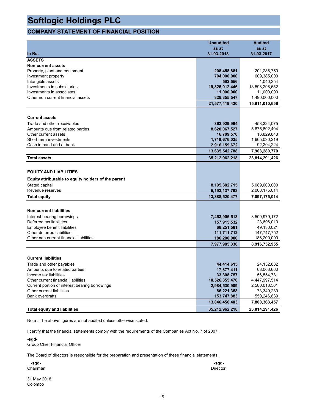## **COMPANY STATEMENT OF FINANCIAL POSITION**

|                                                     | <b>Unaudited</b> | <b>Audited</b> |
|-----------------------------------------------------|------------------|----------------|
|                                                     | as at            | as at          |
| In Rs.                                              | 31-03-2018       | 31-03-2017     |
| <b>ASSETS</b>                                       |                  |                |
| <b>Non-current assets</b>                           |                  |                |
| Property, plant and equipment                       | 208,458,881      | 201,286,750    |
| Investment property                                 | 704,000,000      | 609,385,000    |
| Intangible assets                                   | 592,556          | 1,040,254      |
| Investments in subsidiaries                         | 19,825,012,446   | 13,598,298,652 |
| Investments in associates                           | 11,000,000       | 11,000,000     |
| Other non current financial assets                  | 828,355,547      | 1,490,000,000  |
|                                                     | 21,577,419,430   | 15,911,010,656 |
|                                                     |                  |                |
| <b>Current assets</b>                               |                  |                |
| Trade and other receivables                         | 362,929,994      | 453,324,075    |
| Amounts due from related parties                    | 8,620,067,527    | 5,675,892,404  |
| Other current assets                                | 16,709,570       | 16,829,848     |
| Short term investments                              | 1,719,676,025    | 1,665,030,219  |
| Cash in hand and at bank                            | 2,916,159,672    | 92,204,224     |
|                                                     | 13,635,542,788   | 7,903,280,770  |
| <b>Total assets</b>                                 | 35,212,962,218   | 23,814,291,426 |
|                                                     |                  |                |
| <b>EQUITY AND LIABILITIES</b>                       |                  |                |
| Equity attributable to equity holders of the parent |                  |                |
| Stated capital                                      | 8,195,382,715    | 5,089,000,000  |
| Revenue reserves                                    | 5,193,137,762    | 2,008,175,014  |
| <b>Total equity</b>                                 | 13,388,520,477   | 7,097,175,014  |
|                                                     |                  |                |
| <b>Non-current liabilities</b>                      |                  |                |
| Interest bearing borrowings                         | 7,453,906,513    | 8,509,979,172  |
| Deferred tax liabilities                            | 157,915,532      | 23,696,010     |
| Employee benefit liabilities                        | 68,251,581       | 49,130,021     |
| Other deferred liabilities                          | 111,711,712      | 147,747,752    |
| Other non current financial liabilities             | 186,200,000      | 186,200,000    |
|                                                     | 7,977,985,338    | 8,916,752,955  |
|                                                     |                  |                |
| <b>Current liabilities</b>                          |                  |                |
| Trade and other payables                            | 44,414,615       | 24,132,882     |
| Amounts due to related parties                      | 17,877,411       | 68,063,660     |
| Income tax liabilities                              | 33,308,757       | 56,554,781     |
| Other current financial liabilities                 | 10,526,355,470   | 4,447,997,514  |
| Current portion of interest bearing borrowings      | 2,984,530,909    | 2,580,018,501  |
| Other current liabilities                           | 86,221,358       | 73,349,280     |
| <b>Bank overdrafts</b>                              | 153,747,883      | 550,246,839    |
|                                                     | 13,846,456,403   | 7,800,363,457  |
| <b>Total equity and liabilities</b>                 | 35,212,962,218   | 23,814,291,426 |

Note : The above figures are not audited unless otherwise stated.

I certify that the financial statements comply with the requirements of the Companies Act No. 7 of 2007.

**-sgd-**

Group Chief Financial Officer

The Board of directors is responsible for the preparation and presentation of these financial statements.

| -sgd-    | -sgd-           |
|----------|-----------------|
| Chairman | <b>Director</b> |
|          |                 |

31 May 2018 Colombo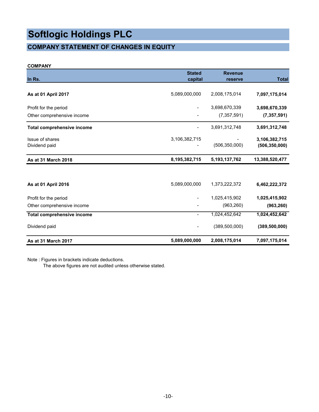## **COMPANY STATEMENT OF CHANGES IN EQUITY**

## **COMPANY**

| In Rs.                            | <b>Stated</b><br>capital | <b>Revenue</b><br>reserve | <b>Total</b>    |
|-----------------------------------|--------------------------|---------------------------|-----------------|
|                                   |                          |                           |                 |
| As at 01 April 2017               | 5,089,000,000            | 2,008,175,014             | 7,097,175,014   |
| Profit for the period             |                          | 3,698,670,339             | 3,698,670,339   |
| Other comprehensive income        |                          | (7, 357, 591)             | (7, 357, 591)   |
| <b>Total comprehensive income</b> |                          | 3,691,312,748             | 3,691,312,748   |
| Issue of shares                   | 3,106,382,715            |                           | 3,106,382,715   |
| Dividend paid                     |                          | (506, 350, 000)           | (506, 350, 000) |
| As at 31 March 2018               | 8,195,382,715            | 5, 193, 137, 762          | 13,388,520,477  |
|                                   |                          |                           |                 |
| As at 01 April 2016               | 5,089,000,000            | 1,373,222,372             | 6,462,222,372   |
| Profit for the period             |                          | 1,025,415,902             | 1,025,415,902   |
| Other comprehensive income        |                          | (963, 260)                | (963, 260)      |
| <b>Total comprehensive income</b> |                          | 1,024,452,642             | 1,024,452,642   |
| Dividend paid                     |                          | (389, 500, 000)           | (389, 500, 000) |
| As at 31 March 2017               | 5,089,000,000            | 2,008,175,014             | 7,097,175,014   |

Note : Figures in brackets indicate deductions.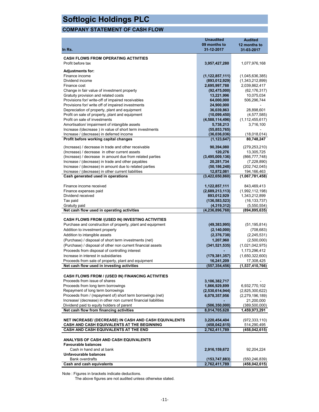## **COMPANY STATEMENT OF CASH FLOW**

|                                                                                           | Unaudited                | <b>Audited</b>                |
|-------------------------------------------------------------------------------------------|--------------------------|-------------------------------|
|                                                                                           | 09 months to             | 12 months to                  |
| In Rs.                                                                                    | 31-12-2017               | 31-03-2017                    |
| <b>CASH FLOWS FROM OPERATING ACTIVITIES</b>                                               |                          |                               |
| Profit before tax                                                                         | 3,957,427,280            | 1,077,976,168                 |
|                                                                                           |                          |                               |
| <b>Adjustments for:</b>                                                                   |                          |                               |
| Finance income                                                                            | (1, 122, 857, 111)       | (1,045,636,385)               |
| Dividend income                                                                           | (893, 012, 929)          | (1,343,212,899)               |
| Finance cost                                                                              | 2,695,997,788            | 2,039,862,417                 |
| Change in fair value of investment property                                               | (92, 475, 000)           | (62, 176, 317)                |
| Gratuity provision and related costs<br>Provisions for/ write-off of impaired receivables | 13,221,996<br>64,000,000 | 10,075,034<br>506,296,744     |
| Provisions for/ write off of impaired investments                                         | 24,900,000               |                               |
| Depreciation of property, plant and equipment                                             | 36,039,863               | 28,898,601                    |
| Profit on sale of property, plant and equipment                                           | (10,099,450)             | (4, 577, 585)                 |
| Profit on sale of investments                                                             | (4,588,114,496)          | (1, 112, 455, 617)            |
| Amortisation/ impairment of intangible assets                                             | 5,738,213                | 3,716,100                     |
| Increase /(decrease) in value of short term investments                                   | (55, 853, 765)           |                               |
| Increase / (decrease) in deferred income                                                  | (36,036,036)             | (18,018,014)                  |
| Profit before working capital changes                                                     | (1, 123, 647)            | 80,748,247                    |
| (Increase) / decrease in trade and other receivable                                       | 90,394,080               |                               |
| (Increase) / decrease in other current assets                                             | 120,276                  | (279, 253, 210)<br>13,305,725 |
| (Increase) / decrease in amount due from related parties                                  | (3,495,009,136)          | (866, 777, 748)               |
| Increase / (decrease) in trade and other payables                                         | 20,281,734               | (7,228,890)                   |
| Increase / (decrease) in amount due to related parties                                    | (50, 186, 248)           | (202, 742, 045)               |
| Increase / (decrease) in other current liabilities                                        | 12,872,081               | 194,166,463                   |
| Cash generated used in operations                                                         | (3,422,650,860)          | (1,067,781,458)               |
|                                                                                           |                          |                               |
| Finance income received                                                                   | 1,122,857,111            | 843,469,413                   |
| Finance expenses paid                                                                     | (2,689,213,113)          | (1,992,112,198)               |
| Dividend received                                                                         | 893,012,929              | 1,343,212,899                 |
| Tax paid                                                                                  | (136, 583, 523)          | (16, 133, 737)                |
| Gratuity paid                                                                             | (4,319,312)              | (5,550,554)                   |
| Net cash flow used in operating activities                                                | (4, 236, 896, 768)       | (894, 895, 635)               |
| CASH FLOWS FROM /(USED IN) INVESTING ACTIVITIES                                           |                          |                               |
| Purchase and construction of property, plant and equipment                                | (49, 383, 995)           | (51, 195, 814)                |
| Addition to investment property                                                           | (2, 140, 000)            | (708, 683)                    |
| Addition to intangible assets                                                             | (2,376,738)              | (2, 245, 531)                 |
| (Purchase) / disposal of short term investments (net)                                     | 1,207,960                | (2,500,000)                   |
| (Purchase) / disposal of other non current financial assets                               | (341, 521, 535)          | (1,021,042,975)               |
| Proceeds from disposal of controlling interest                                            |                          | 1,173,296,412                 |
| Increase in interest in subsidiaries                                                      | (179, 381, 357)          | (1,650,322,600)               |
| Proceeds from sale of property, plant and equipment                                       | 16,241,209               | 17,308,425                    |
| Net cash flow used in investing activities                                                | (557, 354, 456)          | (1,537,410,766)               |
|                                                                                           |                          |                               |
| <b>CASH FLOWS FROM / (USED IN) FINANCING ACTIVITIES</b>                                   |                          |                               |
| Proceeds from issue of shares                                                             | 3,106,382,717            |                               |
| Proceeds from long term borrowings                                                        | 1,866,929,899            | 6,932,770,102                 |
| Repayment of long term borrowings                                                         | (2,530,614,944)          | (2,825,300,622)               |
| Proceeds from / (repayment of) short term borrowings (net)                                | 6,078,357,956            | (2,279,196,189)               |
| Increase/ (decrease) in other non current financial liabilities                           |                          | 21,200,000                    |
| Dividend paid to equity holders of parent                                                 | (506, 350, 000)          | (389, 500, 000)               |
| Net cash flow from financing activities                                                   | 8,014,705,628            | 1,459,973,291                 |
| NET INCREASE/ (DECREASE) IN CASH AND CASH EQUIVALENTS                                     | 3,220,454,404            | (972, 333, 110)               |
| CASH AND CASH EQUIVALENTS AT THE BEGINNING                                                | (458, 042, 615)          | 514,290,495                   |
| <b>CASH AND CASH EQUIVALENTS AT THE END</b>                                               | 2,762,411,789            | (458,042,615)                 |
|                                                                                           |                          |                               |
| <b>ANALYSIS OF CASH AND CASH EQUIVALENTS</b>                                              |                          |                               |
| <b>Favourable balances</b>                                                                |                          |                               |
| Cash in hand and at bank                                                                  | 2,916,159,672            | 92,204,224                    |
| Unfavourable balances                                                                     |                          |                               |
| Bank overdrafts                                                                           | (153, 747, 883)          | (550,246,839)                 |
| Cash and cash equivalents                                                                 | 2,762,411,789            | (458, 042, 615)               |

Note : Figures in brackets indicate deductions.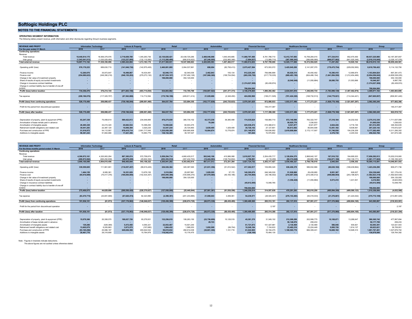#### **NOTES TO THE FINANCIAL STATEMENTS**

**OPERATING SEGMENT INFORMATION** The following tables present revenue, profit information and other disclosures regarding Group's business segments.

| <b>REVENUE AND PROFIT</b>                               |                          | <b>Information Technology</b> | <b>Leisure &amp; Property</b> |                         |                          | Retail                   | <b>Automobiles</b> |               | <b>Financial Services</b> |                           | <b>Healthcare Services</b> |                         | Others          |                        | Group                      |                            |
|---------------------------------------------------------|--------------------------|-------------------------------|-------------------------------|-------------------------|--------------------------|--------------------------|--------------------|---------------|---------------------------|---------------------------|----------------------------|-------------------------|-----------------|------------------------|----------------------------|----------------------------|
| For the year ended 31 March                             | 2018                     | 2017                          | 2018                          | 2017                    | 2018                     | 2017                     | 2018               | 2017          | 2018                      | 2017                      | 2017                       | 2016                    | 2018            | 2017                   | 2018                       | 2017                       |
| <b>Continuing operations</b>                            |                          |                               |                               |                         |                          |                          |                    |               |                           |                           |                            |                         |                 |                        |                            |                            |
| Revenue                                                 |                          |                               |                               |                         |                          |                          |                    |               |                           |                           |                            |                         |                 |                        |                            |                            |
| Total revenue                                           | 18,440,814,175           | 18.569.379.576                | 2.718.659.78                  | 1.345.293.736           | 22.130.826.421           | 20.438.725.285           | 2.488.046.098      | 1.640.445.885 | 11.068.797.490            | 8.781.788.710             | 12.412.747.093             | 10.759.284.015          | 677.334.914     | 652.470.450            | 69.937.225.980             | 62.187.387.657             |
| Inter group                                             | (1.543.041.013           | (1.030.029.480)               | (133,237,095)                 | (132.110.560)           | (1.113.260.490           | (890.816.622)            | (67.240.505)       | (232.985.368) | (7,884,837)               | (13.989.710)              | (387.569.243)              | (386.689.990)           | (666.077.662)   | (641.525.346)          | (3.918.310.845)            | (3.328.147.076)            |
| Total external revenue                                  | 16,897,773,162           | 17.539.350.096                | 2.585.422.694                 | 1.213.183.176           | 21.017.565.931           | 19,547,908,663           | 2.420.805.593      | 1,407,460,517 | 11.060.912.653            | 8,767,799,000             | 12.025.177.850             | 10.372.594.025          | 11.257.252      | 10.945.104             | 66.018.915.135             | 58,859,240,581             |
|                                                         |                          |                               |                               |                         |                          |                          |                    |               |                           |                           |                            |                         |                 |                        |                            |                            |
| Operating profit/ (loss)                                | 976,176,223              | 689.630.715                   | (141,946,730                  | (142, 875, 405)         | 2.460.881.895            | 2.064.537.861            | 698,004            | (82.758.413)  | 2,075,427,584             | 673.553.572               | 3.425.945.200              | 2.141.097.370           | (178,475,754    | (229, 052, 950)        | 8.618.706.422              | 5, 114, 132, 750           |
|                                                         |                          |                               |                               |                         |                          |                          |                    |               |                           |                           |                            |                         |                 |                        |                            |                            |
| Finance income                                          | 12,260,876               | 35.973.647                    | 18,498,867                    | 18,434,481              | 62.946.174               | 82.540.036               | 2.462.843          | 105.134       | 912.225.340               | 706.896.899               | 85.020.314                 | 40.450.402              | 10,390,410      | 12.990.874             | 1.103.804.824              | 897.391.473                |
| Finance cost                                            | (254,080,623)            | (349.390.218)                 | (548.155.293)                 | (279.273.130)           | (2.187.024.107           | (1.767.492.128)          | (187, 968, 369)    | (158.724.094) | (265,350,750              | (217.718.035)             | (869, 483, 150             | (824, 486, 154)         | (1,641,994,550  | (1.212.454.466)        | (5,954,056,842)            | (4.809.538.225)            |
| Change in fair value of investment property             |                          |                               |                               |                         | 198,000,000              | 354,120,000              |                    |               |                           |                           |                            |                         |                 |                        | 198,000,000                | 354,120,000                |
| Share of results of equity accounted investments        |                          |                               |                               |                         |                          |                          |                    |               |                           |                           | (6,540,548)                | (11,055,884)            | 26,080,755      | 21.053.666             | 19,540,207                 | 9.997.782                  |
| Change in insurance contract liabilities                |                          |                               |                               |                         |                          |                          |                    |               | (1.374.027.509            | (82.439.974)              |                            |                         |                 |                        | (1,374,027,509             | (82.439.974)               |
| Change in contract liability due to transfer of one-off |                          |                               |                               |                         |                          |                          |                    |               |                           |                           |                            |                         |                 |                        |                            |                            |
| surplus                                                 |                          |                               |                               |                         |                          |                          |                    |               | 798.004.000               |                           |                            |                         |                 |                        | 798.004.000                | $\overline{\phantom{a}}$   |
| Profit/ (loss) before taxation                          | 734.356.476              | 376.214.144                   | (671,603,156)                 | (403.714.054)           | 534.803.962              | 733,705,769              | (184,807,522)      | (241.377.373) | 2.146.278.665             | 1.080.292.462             | 2.634.941.816              | 1.346.005.734           | (1.783.999.139  | (1.407.462.876)        | 3.409.971.102              | 1,483,663,806              |
|                                                         |                          |                               |                               |                         |                          |                          |                    |               |                           |                           |                            |                         |                 |                        |                            |                            |
| Tax expense                                             | (208,186,076             | (117, 325, 707)               | (67, 562, 888)                | 114.712.594             | (170, 766, 198)          | (409, 811, 414)          | 21,029,686         | (2.348.450)   | 424,082,960               | (108, 211, 529)           | (701,424,320)              | (168, 732, 513)         | (144,779,021)   | (114, 344, 421)        | (847, 605, 857)            | (806,061,440)              |
|                                                         |                          |                               |                               |                         |                          |                          |                    |               |                           |                           |                            |                         |                 |                        |                            |                            |
| Profit/ (loss) from continuing operations               | 526.170.400              | 258,888,437                   | (739.166.044)                 | (289.001.460)           | 364.037.764              | 323.894.355              | (163.777.836)      | (243.725.823) | 2.570.361.625             | 972.080.933               | 1.933.517.496              | 1.177.273.221           | (1.928.778.160) | (1.521.807.297)        | 2.562.365.245              | 677.602.366                |
|                                                         |                          |                               |                               |                         |                          |                          |                    |               |                           |                           |                            |                         |                 |                        |                            |                            |
| Profit for the period from discontinued operation       |                          |                               |                               |                         |                          |                          |                    |               |                           | 145.317.367               |                            | $\sim$                  |                 |                        |                            | 145.317.367                |
|                                                         | 526,170,400              | 258.888.437                   | (739.166.044)                 | (289.001.460)           | 364.037.764              | 323.894.355              | (163.777.836)      | (243.725.823) | 2.570.361.625             | 1.117.398.300             | 1.933.517.496              | 1.177.273.221           |                 | (1.521.807.297)        | 2.562.365.245              | 822.919.733                |
| Profit/ (loss) after taxation                           |                          |                               |                               |                         |                          |                          |                    |               |                           |                           |                            |                         | (1.928.778.160) |                        |                            |                            |
|                                                         |                          |                               |                               |                         |                          |                          |                    |               |                           |                           |                            |                         |                 |                        |                            |                            |
| Depreciation of property, plant & equipment (PPE).      | 83,247,338               | 75.458.614                    | 589.422.813                   | 234.646.895             | 476.275.039              | 385.735.102              | 42.373.236         | 39.380.499    | 174,535,624               | 158,860.710               | 872.140.096                | 783.322.747             | 37,318,184      | 34.232.532             | 2.275.312.330              | 1.711.637.099              |
| Amortisation of lease rentals paid in advance           |                          | $\sim$                        |                               | $\sim$                  | $\sim$                   | $\sim$                   | 79,260             | $\sim$        |                           |                           | 50.925.776                 | 1.036.933               | $\sim$          | $\sim$                 | 51.005.036                 | 1.036.933                  |
|                                                         |                          |                               |                               |                         |                          |                          |                    |               |                           |                           |                            |                         |                 |                        |                            |                            |
| Amortisation of intangible assets                       | 28,485,328<br>30.041.283 | 44,415,320<br>22.387.120      | 20.682.534<br>10.006.394      | 15,399,250<br>3.520.235 | 74.959.648<br>33.547.234 | 60.933.475<br>25,724,893 | 3.639.405          | 1.429.409     | 225.538.472<br>30.726.142 | 215.368.613<br>27.127.801 | 8.521.877<br>85.813.502    | 8.521.877<br>80.844.508 | 2.824.436       | 3.716.100<br>9.638.561 | 361.012.295<br>207.225.142 | 348.354.635<br>170.672.527 |
| Retirement benefit obligations and related cost         |                          |                               |                               |                         |                          |                          |                    |               |                           |                           |                            |                         | 13.451.182      |                        |                            |                            |
| Purchase and construction of PPE                        | 51,016,972               | 54, 112, 957                  | 978.415.714                   | 2.991.717.045           | 1.235.059.300            | 838.695.908              | 10.064.874         | 13,778,874    | 231,149,970               | 136,636,852               | 2,619,808,684              | 2,172,117,507           | 51,746,936      | 104,236,209            | 5,177,262,450              | 6.311.295.352              |
| Additions to intangible assets                          | 98,381,243               | 91.664.686                    | 17.421.356                    | 15,993,779              | 138.152.385              | 39, 197, 547             |                    |               | 191.044                   | 72,570,802                |                            |                         | 2,376,738       | 2,245,532              | 256.522.766                | 221,672,346                |

| <b>REVENUE AND PROFIT</b>                               |               | <b>Information Technology</b> | <b>Leisure &amp; Property</b> |                 |               | Retail          | Automobiles    |                 |                | <b>Financial Services</b> | <b>Healthcare Services</b> |                 | Others          |                 |                 | Group              |
|---------------------------------------------------------|---------------|-------------------------------|-------------------------------|-----------------|---------------|-----------------|----------------|-----------------|----------------|---------------------------|----------------------------|-----------------|-----------------|-----------------|-----------------|--------------------|
| For the three months period ended 31 March              | 2018          | 2017                          | 2018                          | 2017            | 2018          | 2017            | 2018           | 2017            | 2018           | 2017                      | 2018                       | 2017            | 2018            | 2017            | 2018            | 2017               |
| <b>Continuing operations</b>                            |               |                               |                               |                 |               |                 |                |                 |                |                           |                            |                 |                 |                 |                 |                    |
| Revenue                                                 |               |                               |                               |                 |               |                 |                |                 |                |                           |                            |                 |                 |                 |                 |                    |
| Total revenue                                           | 4.390.972.161 | 4.320.063.294                 | 887.385.074                   | 572.758.674     | 5.559.294.714 | 4.660.435.517   | 502.942.106    | 410.986.068     | 3.018.927.761  | 2.204.435.717             | 3,128,854,375              | 2.868.642.107   | 167.916.722     | 164.695.523     | 17.656.292.913  | 15.202.016.900     |
| Inter group                                             | (490,872,062  | (365, 252, 838)               | (40,979,430                   | (29, 602, 352)  | (253,353,512  | (357, 432, 703) | (15, 424, 593) | (138, 734, 804) | 2.796.991      | (2, 118, 290)             | (98, 374, 048)             | (99, 885, 189)  | (164, 971, 168) | (162, 139, 171) | (1,061,177,822) | (1, 155, 165, 347) |
| Total external revenue                                  | 3.900.100.099 | 3.954.810.456                 | 846,405,644                   | 543.156.322     | 5.305.941.202 | 4.303.002.814   | 487.517.513    | 272.251.264     | 3.021.724.752  | 2.202.317.427             | 3.030.480.327              | 2.768.756.918   | 2.945.554       | 2.556.352       | 16.595.115.091  | 14.046.851.553     |
| Operating profit/ (loss)                                | 339,559,605   | 111.961.691                   | (116, 057, 457)               | (99.615.425)    | 226.526.384   | 320.387.565     | (21,831,356)   | (51.810.542)    | 417.262.917    | 109.855.345               | 638,406,379                | 586.932.966     | (60.630.182)    | (168, 439, 864) | 1,423,236,290   | 809.271.736        |
|                                                         |               |                               |                               |                 |               |                 |                |                 |                |                           |                            |                 |                 |                 |                 |                    |
| Finance income                                          | 1,464,159     | 8.085.381                     | 16,351,029                    | 13.679.155      | 3.510.994     | 25.957.861      | 1.829.555      | 37.172          | 140.300.676    | 246.349.530               | 51,928,868                 | 26.439.680      | 8.951.367       | 626.637         | 224.336.648     | 321.175.416        |
| Finance cost                                            | (65,616,889   | (75, 417, 376)                | (169, 850, 000)               | (142, 434, 357) | (555,095,386  | (725, 906, 270) | (67,979,580)   | (40, 165, 186)  | (63, 704, 984) | (55, 196, 002)            | (210,687,526               | (210, 306, 512) | (449, 888, 954) | (243, 198, 827) | (1,582,823,319  | (1,492,624,530)    |
| Change in fair value of investment property             |               |                               |                               |                 | 198,000,000   | 354,120,000     |                |                 |                |                           |                            |                 |                 |                 | 198,000,000     | 354,120,000        |
| Share of results of equity accounted investments        |               |                               |                               |                 |               |                 |                |                 |                |                           | (1, 356, 428)              | (11,055,884)    | 5.573.410       | 1.431.931       | 4.216.982       | (9,623,953)        |
| Change in insurance contract liabilities                |               |                               |                               |                 |               |                 |                |                 | (45,612,595    | 13.048.765                |                            |                 |                 |                 | (45,612,595     | 13,048,765         |
| Change in contract liability due to transfer of one-off |               |                               |                               |                 |               |                 |                |                 |                |                           |                            |                 |                 |                 |                 |                    |
| surplus                                                 |               |                               |                               |                 |               |                 |                |                 | 798.004.000    |                           |                            |                 |                 |                 | 798.004.000     |                    |
| Profit/ (loss) before taxation                          | 275.406.875   | 44.629.696                    | (269.556.428                  | (228.370.627)   | (127.058.008  | (25, 440, 844)  | (87.981.381)   | (91.938.556)    | 1.246.250.014  | 314.057.638               | 478.291.293                | 392.010.250     | (495, 994, 359) | (409.580.123)   | 1.019.358.006   | (4, 632, 566)      |
|                                                         |               |                               |                               |                 |               |                 |                |                 |                |                           |                            |                 |                 |                 |                 |                    |
| Tax expense                                             | (83,470,774   | (44.691.669)                  | (67.620.474)                  | 82.323.990      | (2.398.391    | (201.233.885)   | 21.008.043     | 3.499.061       | 54.239.571     | (28.545.447)              | (276.153.483)              | (84,019,033)    | (21.376.601)    | (41, 224, 042)  | (375,772,109)   | (313, 891, 025)    |
|                                                         |               |                               |                               |                 |               |                 |                |                 |                |                           |                            |                 |                 |                 |                 |                    |
| Profit/ (loss) from continuing operations               | 191.936.101   | (61.973)                      | (337.176.902)                 | (146.046.637)   | (129,456,399  | (226.674.729)   | (66.973.338)   | (88.439.495)    | 1.300.489.585  | 285,512.191               | 202.137.810                | 307.991.217     | (517,370,960)   | (450.804.165)   | 643.585.897     | (318, 523, 591)    |
| Profit for the period from discontinued operation       |               |                               |                               |                 |               |                 |                |                 |                | 2.197                     |                            |                 |                 |                 |                 | 2.197              |
|                                                         |               |                               |                               |                 |               |                 |                |                 |                |                           |                            |                 |                 |                 |                 |                    |
| Profit/ (loss) after taxation                           | 191.936.101   | (61.973)                      | (337.176.902)                 | (146.046.637)   | (129,456,399  | (226.674.729)   | (66.973.338)   | (88.439.495)    | 1.300.489.585  | 285,514,388               | 202.137.810                | 307.991.217     | (517,370,960)   | (450.804.165)   | 643.585.897     | (318,521,394)      |
|                                                         |               |                               |                               |                 |               |                 |                |                 |                |                           |                            |                 |                 |                 |                 |                    |
| Depreciation of property, plant & equipment (PPE)       | 15,079,366    | 20.358.570                    | 188,027,726                   | 93,279,931      | 132.256.019   | 106.263.150     | (22,756,699)   | 10,128,519      | 45,381,370     | 31,549,102                | 212.269.289                | 202.999.775     | 10.108.67       | 13.288.647      | 580.365.742     | 477,867,694        |
| Amortisation of lease rentals paid in advance           |               |                               |                               |                 |               |                 | 29,723         |                 |                |                           | 50.148.076                 | 259.233         |                 |                 | 50,177,799      | 259,233            |
| Amortisation of intangible assets                       | 129,286       | (529.389)                     | 5.472.450                     | 4.055.321       | 22.053.467    | 15.501.240      |                |                 | 61.721.673     | 101.427.981               | 2.130.469                  | 2.130.469       | 586,046         | 935.921         | 92.093.391      | 123.521.543        |
| Retirement benefit obligations and related cost         | 13,605,979    | 6.205.863                     | 3.973.575                     | (157, 680)      | 1.664.432     | 1.568.253       | 1.652.509      | (99.704)        | 10.249.184     | 7.154.633                 | 23.482.216                 | 23.224.449      | 5.995.726       | 1.814.137       | 60.623.621      | 39,709,95          |
| Purchase and construction of PPE                        | (93,165,296   | 20.086.197                    | 649.656.398                   | 493.642.532     | 99.819.832    | 282.614.038     | (30.801.306)   | 1.101.719       | 61.022.905     | 33.194.475                | 1.188.565.776              | 684.309.431     | 16,669,182      | 12.928.310      | 1.891.767.491   | 1,527,876,702      |
| Additions to intangible assets                          | 20.461.776    | 28.318.808                    |                               | 15,784,979      | 116,542,414   | 15.176.475      |                |                 | (126, 100)     | 70.484.130                |                            |                 |                 |                 | 136,878,090     | 129.764.392        |
|                                                         |               |                               |                               |                 |               |                 |                |                 |                |                           |                            |                 |                 |                 |                 |                    |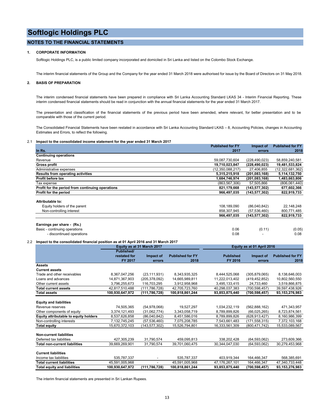## **NOTES TO THE FINANCIAL STATEMENTS**

### **1. CORPORATE INFORMATION**

Softlogic Holdings PLC, is a public limited company incorporated and domiciled in Sri Lanka and listed on the Colombo Stock Exchange.

The interim financial statements of the Group and the Company for the year ended 31 March 2018 were authorised for issue by the Board of Directors on 31 May 2018.

### **2. BASIS OF PREPARATION**

The interim condensed financial statements have been prepared in compliance with Sri Lanka Accounting Standard LKAS 34 - Interim Financial Reporting. These interim condensed financial statements should be read in conjunction with the annual financial statements for the year ended 31 March 2017.

The presentation and classification of the financial statements of the previous period have been amended, where relevant, for better presentation and to be comparable with those of the current period.

The Consolidated Financial Statements have been restated in accordance with Sri Lanka Accounting Standard LKAS – 8, Accounting Policies, changes in Accounting Estimates and Errors, to reflect the following.

#### 2.1 **Impact to the consolidated income statement for the year ended 31 March 2017**

|                                                                                                                         |                         |                            |                                 | <b>Published for FY</b>     | Impact of                  | <b>Published for FY</b>         |
|-------------------------------------------------------------------------------------------------------------------------|-------------------------|----------------------------|---------------------------------|-----------------------------|----------------------------|---------------------------------|
| In Rs.                                                                                                                  |                         |                            |                                 | 2017                        | errors                     | 2018                            |
| <b>Continuing operations</b>                                                                                            |                         |                            |                                 |                             |                            |                                 |
| Revenue                                                                                                                 |                         |                            |                                 | 59,087,730,604              | (228, 490, 023)            | 58,859,240,581                  |
| <b>Gross profit</b>                                                                                                     |                         |                            |                                 | 19,710,023,847              | (228, 490, 023)            | 19,481,533,824                  |
| Administrative expenses                                                                                                 |                         |                            |                                 | (12.350.088.217)            | 27.406.855                 | (12,322,681,362)                |
| <b>Results from operating activities</b>                                                                                |                         |                            |                                 | 5,315,215,918               | (201, 083, 168)            | 5,114,132,750                   |
| Profit before tax                                                                                                       |                         |                            |                                 | 1,684,746,974               | (201, 083, 168)            | 1,483,663,806                   |
| Tax expense                                                                                                             |                         |                            |                                 | (863, 567, 306)             | 57,505,866                 | (806,061,440)                   |
| Profit for the period from continuing operations                                                                        |                         |                            |                                 | 821,179,668                 | (143, 577, 302)            | 677,602,366                     |
| Profit for the period                                                                                                   |                         |                            |                                 | 966,497,035                 | (143, 577, 302)            | 822,919,733                     |
| Attributable to:                                                                                                        |                         |                            |                                 |                             |                            |                                 |
| Equity holders of the parent                                                                                            |                         |                            |                                 | 108,189,090                 | (86,040,842)               | 22,148,248                      |
| Non-controlling interest                                                                                                |                         |                            |                                 | 858.307.945                 | (57, 536, 460)             | 800,771,485                     |
|                                                                                                                         |                         |                            |                                 | 966,497,035                 | (143,577,302)              | 822,919,733                     |
| - discontinued operations<br>Impact to the consolidated financial position as at 01 April 2016 and 31 March 2017<br>2.2 |                         | Equity as at 31 March 2017 |                                 | 0.08                        | Equity as at 01 April 2016 | 0.08                            |
|                                                                                                                         | Published/              |                            |                                 |                             |                            |                                 |
|                                                                                                                         | restated for<br>FY 2017 | Impact of<br>errors        | <b>Published for FY</b><br>2018 | <b>Published</b><br>FY 2016 | Impact of<br>errors        | <b>Published for FY</b><br>2018 |
| Assets                                                                                                                  |                         |                            |                                 |                             |                            |                                 |
| <b>Current assets</b>                                                                                                   |                         |                            |                                 |                             |                            |                                 |
| Trade and other receivables                                                                                             | 8,367,047,256           | (23, 111, 931)             | 8,343,935,325                   | 8,444,525,068               | (305, 879, 065)            | 8,138,646,003                   |
| Loans and advances                                                                                                      | 14,871,367,903          | (205, 378, 092)            | 14,665,989,811                  | 11,222,013,402              | (419, 452, 852)            | 10,802,560,550                  |
| Other current assets                                                                                                    | 3,796,255,673           | 116,703,295                | 3,912,958,968                   | 3,495,133,415               | 24,733,460                 | 3,519,866,875                   |
| <b>Total current assets</b>                                                                                             | 42,817,510,488          | (111, 786, 728)            | 42,705,723,760                  | 40,298,037,383              | (700, 598, 457)            | 39,597,438,926                  |
| <b>Total assets</b>                                                                                                     | 100,930,647,972         | (111, 786, 728)            | 100,818,861,244                 | 93,853,875,440              | (700, 598, 457)            | 93,153,276,983                  |
| <b>Equity and liabilities</b>                                                                                           |                         |                            |                                 |                             |                            |                                 |
| Revenue reserves                                                                                                        |                         |                            |                                 |                             |                            |                                 |
|                                                                                                                         | 74,505,365              | (54, 978, 068)             | 19,527,297                      | 1,034,232,119               | (562, 888, 162)            | 471,343,957                     |
| Other components of equity                                                                                              | 3,374,121,493           | (31,062,774)               | 3,343,058,719                   | 8,789,899,826               | (66,025,265)               | 8,723,874,561                   |

| Non-controlling interests            | 7,132,745,245   | (57, 536, 460)  | 7,075,208,785   | 7,543,661,483  | (171, 558, 315) | 7,372,103,168  |
|--------------------------------------|-----------------|-----------------|-----------------|----------------|-----------------|----------------|
| <b>Total equity</b>                  | 15,670,372,103  | (143, 577, 302) | 15,526,794,801  | 16,333,561,309 | (800, 471, 742) | 15,533,089,567 |
|                                      |                 |                 |                 |                |                 |                |
| <b>Non-current liabilities</b>       |                 |                 |                 |                |                 |                |
| Deferred tax liabilities             | 427,305,239     | 31.790.574      | 459.095.813     | 338,202,428    | (64, 593, 062)  | 273,609,366    |
| <b>Total non-current liabilities</b> | 39,669,269,901  | 31.790.574      | 39,701,060,475  | 30,344,047,030 | (64, 593, 062)  | 30,279,453,968 |
|                                      |                 |                 |                 |                |                 |                |
| <b>Current liabilities</b>           |                 |                 |                 |                |                 |                |
| Income tax liabilities               | 535,787,337     |                 | 535,787,337     | 403,919,344    | 164.466.347     | 568,385,691    |
| <b>Total current liabilities</b>     | 45,591,005,968  | ٠               | 45.591.005.968  | 47,176,267,101 | 164.466.347     | 47.340.733.448 |
| <b>Total equity and liabilities</b>  | 100,930,647,972 | (111, 786, 728) | 100.818.861.244 | 93,853,875,440 | (700, 598, 457) | 93.153.276.983 |

The interim financial statements are presented in Sri Lankan Rupees.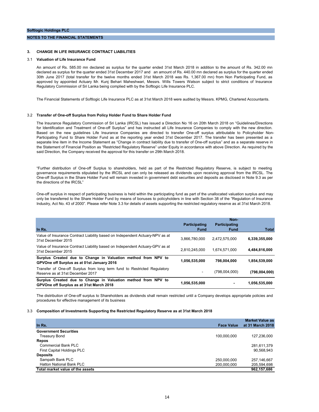#### **NOTES TO THE FINANCIAL STATEMENTS**

### **3. CHANGE IN LIFE INSURANCE CONTRACT LIABILITIES**

#### 3.1 **Valuation of Life Insurance Fund**

An amount of Rs. 585.00 mn declared as surplus for the quarter ended 31st March 2018 in addition to the amount of Rs. 342.00 mn declared as surplus for the quarter ended 31st December 2017 and an amount of Rs. 440.00 mn declared as surplus for the quarter ended 30th June 2017 (total transfer for the twelve months ended 31st March 2018 was Rs. 1,367.00 mn) from Non Participating Fund, as approved by appointed Actuary Mr. Kunj Behari Maheshwari, Messrs. Wills Towers Watson subject to strict conditions of Insurance Regulatory Commission of Sri Lanka being complied with by the Softlogic Life Insurance PLC.

The Financial Statements of Softlogic Life Insurance PLC as at 31st March 2018 were audited by Messrs. KPMG, Chartered Accountants.

#### 3.2 **Transfer of One-off Surplus from Policy Holder Fund to Share Holder Fund**

The Insurance Regulatory Commission of Sri Lanka (IRCSL) has issued a Direction No 16 on 20th March 2018 on "Guidelines/Directions for Identification and Treatment of One-off Surplus" and has instructed all Life Insurance Companies to comply with the new direction. Based on the new guidelines Life Insurance Companies are directed to transfer One-off surplus attributable to Policyholder Non-Participating Fund to Share Holder Fund as at the reporting year ended 31st December 2017. The transfer has been presented as a separate line item in the Income Statement as "Change in contract liability due to transfer of One-off surplus" and as a separate reserve in the Statement of Financial Position as "Restricted Regulatory Reserve" under Equity in accordance with above Direction. As required by the said Direction, the Company received the approval for this transfer on 29th March 2018.

"Further distribution of One-off Surplus to shareholders, held as part of the Restricted Regulatory Reserve, is subject to meeting governance requirements stipulated by the IRCSL and can only be released as dividends upon receiving approval from the IRCSL. The One-off Surplus in the Share Holder Fund will remain invested in government debt securities and deposits as disclosed in Note 9.3 as per the directions of the IRCSL"

One-off surplus in respect of participating business is held within the participating fund as part of the unallocated valuation surplus and may only be transferred to the Share Holder Fund by means of bonuses to policyholders in line with Section 38 of the "Regulation of Insurance Industry, Act No. 43 of 2000". Please refer Note 3.3 for details of assets supporting the restricted regulatory reserve as at 31st March 2018.

|                                                                                                              | <b>Participating</b> | Non-<br><b>Participating</b> |               |
|--------------------------------------------------------------------------------------------------------------|----------------------|------------------------------|---------------|
| In Rs.                                                                                                       | <b>Fund</b>          | <b>Fund</b>                  | <b>Total</b>  |
| Value of Insurance Contract Liability based on Independent Actuary-NPV as at<br>31st December 2015           | 3,866,780,000        | 2,472,575,000                | 6,339,355,000 |
| Value of Insurance Contract Liability based on Independent Actuary-GPV as at<br>31st December 2015           | 2.810.245.000        | 1.674.571.000                | 4.484.816.000 |
| Surplus Created due to Change in Valuation method from NPV to<br>GPVOne off Surplus as at 01st January 2016  | 1.056.535.000        | 798.004.000                  | 1,854,539,000 |
| Transfer of One-off Surplus from long term fund to Restricted Regulatory<br>Reserve as at 31st December 2017 | -                    | (798,004,000)                | (798,004,000) |
| Surplus Created due to Change in Valuation method from NPV to<br>GPVOne off Surplus as at 31st March 2018    | 1,056,535,000        | -                            | 1,056,535,000 |

The distribution of One-off surplus to Shareholders as dividends shall remain restricted until a Company develops appropriate policies and procedures for effective management of its business

#### 3.3 **Composition of Investments Supporting the Restricted Regulatory Reserve as at 31st March 2018**

|                                  |                   | <b>Market Value as</b> |
|----------------------------------|-------------------|------------------------|
| In Rs.                           | <b>Face Value</b> | at 31 March 2018       |
| <b>Government Securities</b>     |                   |                        |
| Treasury Bond                    | 100,000,000       | 127,236,000            |
| <b>Repos</b>                     |                   |                        |
| Commercial Bank PLC              |                   | 281,611,379            |
| First Capital Holdings PLC       |                   | 90,568,943             |
| <b>Deposits</b>                  |                   |                        |
| Sampath Bank PLC                 | 250,000,000       | 257,146,667            |
| <b>Hatton National Bank PLC</b>  | 200.000.000       | 205,594,698            |
| Total market value of the assets |                   | 962,157,686            |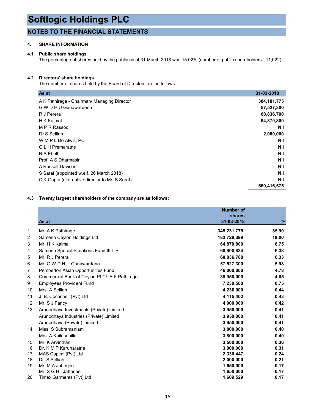## **NOTES TO THE FINANCIAL STATEMENTS**

## **4. SHARE INFORMATION**

## **4.1 Public share holdings**

The percentage of shares held by the public as at 31 March 2018 was 15.02% (number of public shareholders - 11,022)

## **4.2 Directors' share holdings**

The number of shares held by the Board of Directors are as follows:

| As at                                           | 31-03-2018    |
|-------------------------------------------------|---------------|
| A K Pathirage - Chairman/ Managing Director     | 384, 181, 775 |
| G W D H U Gunawardena                           | 57,527,300    |
| R J Perera                                      | 60,836,700    |
| H K Kaimal                                      | 64,870,800    |
| M P R Rassool                                   | <b>Nil</b>    |
| Dr S Selliah                                    | 2,000,000     |
| W M P L De Alwis, PC                            | <b>Nil</b>    |
| <b>GLH</b> Premaratne                           | Nil           |
| R A Ebell                                       | Nil           |
| Prof. A S Dharmasiri                            | Nil           |
| A Russell-Davison                               | Nil           |
| S Saraf (appointed w.e.f. 26 March 2018)        | <b>Nil</b>    |
| C K Gupta (alternative director to Mr. S Saraf) | Nil           |
|                                                 | 569,416,575   |

## **4.3 Twenty largest shareholders of the company are as follows:**

|    | As at                                        | <b>Number of</b><br>shares<br>31-03-2018 | $\%$  |
|----|----------------------------------------------|------------------------------------------|-------|
| 1  | Mr. A K Pathirage                            | 345,231,775                              | 35.90 |
| 2  | Samena Ceylon Holdings Ltd                   | 182,728,399                              | 19.00 |
| 3  | Mr. H K Kaimal                               | 64,870,800                               | 6.75  |
| 4  | Samena Special Situations Fund III L.P.      | 60,900,834                               | 6.33  |
| 5  | Mr. R J Perera                               | 60,836,700                               | 6.33  |
| 6  | Mr. G W D H U Gunawardena                    | 57,527,300                               | 5.98  |
| 7  | Pemberton Asian Opportunities Fund           | 46,000,000                               | 4.78  |
| 8  | Commercial Bank of Ceylon PLC/ A K Pathirage | 38,950,000                               | 4.05  |
| 9  | <b>Employees Provident Fund</b>              | 7,230,500                                | 0.75  |
| 10 | Mrs. A Selliah                               | 4,236,000                                | 0.44  |
| 11 | J. B. Cocoshell (Pvt) Ltd                    | 4,115,402                                | 0.43  |
| 12 | Mr. S J Fancy                                | 4,000,000                                | 0.42  |
| 13 | Arunodhaya Investments (Private) Limited     | 3,950,000                                | 0.41  |
|    | Arunodhaya Industries (Private) Limited      | 3,950,000                                | 0.41  |
|    | Arunodhaya (Private) Limited                 | 3,950,000                                | 0.41  |
| 14 | Miss. S Subramaniam                          | 3,800,000                                | 0.40  |
|    | Mrs. A Kailasapillai                         | 3,800,000                                | 0.40  |
| 15 | Mr. K Arvinthan                              | 3,500,000                                | 0.36  |
| 16 | Dr. K M P Karunaratne                        | 3,000,000                                | 0.31  |
| 17 | MAS Capital (Pvt) Ltd                        | 2,330,447                                | 0.24  |
| 18 | Dr. S Selliah                                | 2,000,000                                | 0.21  |
| 19 | Mr. M A Jafferjee                            | 1,650,000                                | 0.17  |
|    | Mr. S G H I Jafferjee                        | 1,650,000                                | 0.17  |
| 20 | Timex Garments (Pvt) Ltd                     | 1,609,529                                | 0.17  |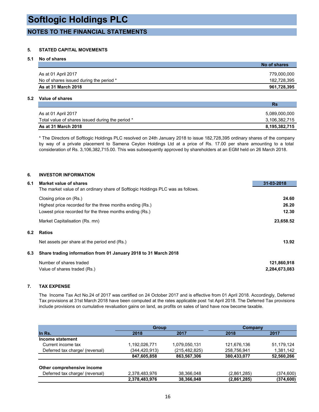## **NOTES TO THE FINANCIAL STATEMENTS**

## **5. STATED CAPITAL MOVEMENTS**

## **5.1 No of shares**

| No of shares |
|--------------|
|              |
| 779,000,000  |
| 182,728,395  |
| 961,728,395  |
|              |

## **5.2 Value of shares**

|                                                  | .             |
|--------------------------------------------------|---------------|
| As at 01 April 2017                              | 5,089,000,000 |
| Total value of shares issued during the period * | 3.106.382.715 |
| As at 31 March 2018                              | 8,195,382,715 |

**Rs**

\* The Directors of Softlogic Holdings PLC resolved on 24th January 2018 to issue 182,728,395 ordinary shares of the company by way of a private placement to Samena Ceylon Holdings Ltd at a price of Rs. 17.00 per share amounting to a total consideration of Rs. 3,106,382,715.00. This was subsequently approved by shareholders at an EGM held on 26 March 2018.

## **6. INVESTOR INFORMATION**

| Market value of shares<br>6.1                                                   | 31-03-2018    |
|---------------------------------------------------------------------------------|---------------|
| The market value of an ordinary share of Softlogic Holdings PLC was as follows. |               |
| Closing price on (Rs.)                                                          | 24.60         |
| Highest price recorded for the three months ending (Rs.)                        | 26.20         |
| Lowest price recorded for the three months ending (Rs.)                         | 12.30         |
| Market Capitalisation (Rs. mn)                                                  | 23,658.52     |
| 6.2<br><b>Ratios</b>                                                            |               |
| Net assets per share at the period end (Rs.)                                    | 13.92         |
| Share trading information from 01 January 2018 to 31 March 2018<br>6.3          |               |
| Number of shares traded                                                         | 121,860,918   |
| Value of shares traded (Rs.)                                                    | 2,284,673,083 |

## **7. TAX EXPENSE**

The Income Tax Act No.24 of 2017 was certified on 24 October 2017 and is effective from 01 April 2018. Accordingly, Deferred Tax provisions at 31st March 2018 have been computed at the rates applicable post 1st April 2018. The Deferred Tax provisions include provisions on cumulative revaluation gains on land, as profits on sales of land have now become taxable.

|                                 | <b>Group</b>  |                 | Company     |            |
|---------------------------------|---------------|-----------------|-------------|------------|
| In Rs.                          | 2018          | 2017            | 2018        | 2017       |
| Income statement                |               |                 |             |            |
| Current income tax              | 1,192,026,771 | 1,079,050,131   | 121,676,136 | 51,179,124 |
| Deferred tax charge/ (reversal) | (344,420,913) | (215, 482, 825) | 258,756,941 | 1,381,142  |
|                                 | 847,605,858   | 863,567,306     | 380,433,077 | 52,560,266 |
| Other comprehensive income      |               |                 |             |            |
| Deferred tax charge/ (reversal) | 2,378,483,976 | 38,366,048      | (2,861,285) | (374, 600) |
|                                 | 2,378,483,976 | 38,366,048      | (2,861,285) | (374, 600) |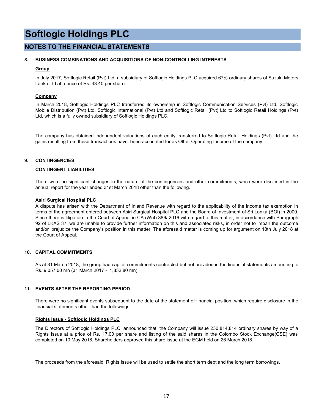## **NOTES TO THE FINANCIAL STATEMENTS**

## **8. BUSINESS COMBINATIONS AND ACQUISITIONS OF NON-CONTROLLING INTERESTS**

## **Group**

In July 2017, Softlogic Retail (Pvt) Ltd, a subsidiary of Softlogic Holdings PLC acquired 67% ordinary shares of Suzuki Motors Lanka Ltd at a price of Rs. 43.40 per share.

## **Company**

In March 2018, Softlogic Holdings PLC transferred its ownership in Softlogic Communication Services (Pvt) Ltd, Softlogic Mobile Distribution (Pvt) Ltd, Softlogic International (Pvt) Ltd and Softlogic Retail (Pvt) Ltd to Softlogic Retail Holdings (Pvt) Ltd, which is a fully owned subsidiary of Softlogic Holdings PLC.

The company has obtained independent valuations of each entity transferred to Softlogic Retail Holdings (Pvt) Ltd and the gains resulting from these transactions have been accounted for as Other Operating Income of the company.

## **9. CONTINGENCIES**

## **CONTINGENT LIABILITIES**

There were no significant changes in the nature of the contingencies and other commitments, whch were disclosed in the annual report for the year ended 31st March 2018 other than the following.

### **Asiri Surgical Hospital PLC**

A dispute has arisen with the Department of Inland Revenue with regard to the applicability of the income tax exemption in terms of the agreement entered between Asiri Surgical Hospital PLC and the Board of Investment of Sri Lanka (BOI) in 2000. Since there is litigation in the Court of Appeal in CA (Writ) 386/ 2016 with regard to this matter, in accordance with Paragraph 92 of LKAS 37, we are unable to provide further information on this and associated risks, in order not to impair the outcome and/or prejudice the Company's position in this matter. The aforesaid matter is coming up for argument on 18th July 2018 at the Court of Appeal.

## **10. CAPITAL COMMITMENTS**

As at 31 March 2018, the group had capital commitments contracted but not provided in the financial statements amounting to Rs. 9,057.00 mn (31 March 2017 - 1,832.80 mn).

## **11. EVENTS AFTER THE REPORTING PERIOD**

There were no significant events subsequent to the date of the statement of financial position, which require disclosure in the financial statements other than the followings.

## **Rights Issue - Softlogic Holdings PLC**

The Directors of Softlogic Holdings PLC, announced that the Company will issue 230,814,814 ordinary shares by way of a Rights Issue at a price of Rs. 17.00 per share and listing of the said shares in the Colombo Stock Exchange(CSE) was completed on 10 May 2018. Shareholders approved this share issue at the EGM held on 26 March 2018.

The proceeds from the aforesaid Rights Issue will be used to settle the short term debt and the long term borrowings.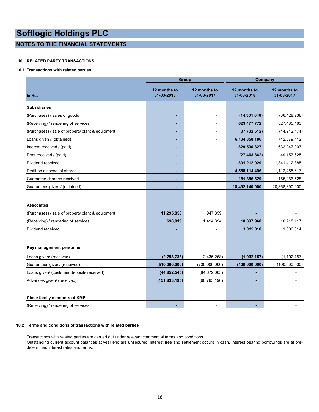## **NOTES TO THE FINANCIAL STATEMENTS**

## **10. RELATED PARTY TRANSACTIONS**

## **10.1 Transactions with related parties**

|                                                  |                            | <b>Group</b>               | <b>Company</b>             |                            |
|--------------------------------------------------|----------------------------|----------------------------|----------------------------|----------------------------|
| In Rs.                                           | 12 months to<br>31-03-2018 | 12 months to<br>31-03-2017 | 12 months to<br>31-03-2018 | 12 months to<br>31-03-2017 |
| <b>Subsidiaries</b>                              |                            |                            |                            |                            |
| (Purchases) / sales of goods                     |                            |                            | (14, 301, 040)             | (36, 428, 238)             |
| (Receiving) / rendering of services              |                            |                            | 623,477,772                | 527,485,463                |
| (Purchases) / sale of property plant & equipment |                            |                            | (37,732,612)               | (44, 942, 474)             |
| Loans given / (obtained)                         |                            | $\overline{\phantom{0}}$   | 6,134,858,186              | 742,379,412                |
| Interest received / (paid)                       |                            | $\blacksquare$             | 829,530,327                | 632,247,907                |
| Rent received / (paid)                           |                            | $\overline{\phantom{a}}$   | (27, 463, 862)             | 49, 157, 625               |
| Dividend received                                |                            | $\blacksquare$             | 891,212,929                | 1,341,412,885              |
| Profit on disposal of shares                     |                            |                            | 4,588,114,496              | 1,112,455,617              |
| Guarantee charges received                       |                            | $\overline{\phantom{a}}$   | 181,886,629                | 155,966,528                |
| Guarantees given / (obtained)                    |                            |                            | 18,492,140,000             | 20,868,890,000             |
|                                                  |                            |                            |                            |                            |
| <b>Associates</b>                                |                            |                            |                            |                            |
| (Purchases) / sale of property plant & equipment | 11,295,858                 | 947,859                    |                            |                            |
| (Receiving) / rendering of services              | 698,019                    | 1,414,394                  | 10,897,960                 | 10,718,117                 |
| Dividend received                                |                            |                            | 3,015,010                  | 1,800,014                  |
|                                                  |                            |                            |                            |                            |
| Key management personnel                         |                            |                            |                            |                            |
| Loans given/ (received)                          | (2, 293, 733)              | (12, 435, 268)             | (1,992,157)                | (1, 192, 157)              |
| Guarantees given/ (received)                     | (510,000,000)              | (730,000,000)              | (100, 000, 000)            | (100,000,000)              |
| Loans given/ (customer deposits received)        | (44, 852, 545)             | (84, 672, 005)             | ٠                          | $\blacksquare$             |
| Advances given/ (received)                       | (151, 833, 195)            | (60, 765, 196)             |                            |                            |
|                                                  |                            |                            |                            |                            |
| Close family members of KMP                      |                            |                            |                            |                            |
| (Receiving) / rendering of services              |                            |                            |                            |                            |

### **10.2 Terms and conditions of transactions with related parties**

Transactions with related parties are carried out under relevant commercial terms and conditions. Outstanding current account balances at year end are unsecured, interest free and settlement occurs in cash. Interest bearing borrowings are at predetermined interest rates and terms.